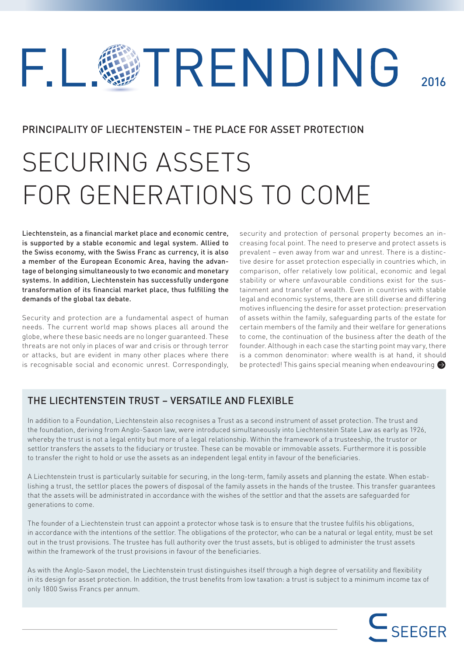# TRENDING  $\Box$ 2016

# PRINCIPALITY OF LIECHTENSTEIN – THE PLACE FOR ASSET PROTECTION

# SECURING ASSETS FOR GENERATIONS TO COME

Liechtenstein, as a financial market place and economic centre, is supported by a stable economic and legal system. Allied to the Swiss economy, with the Swiss Franc as currency, it is also a member of the European Economic Area, having the advantage of belonging simultaneously to two economic and monetary systems. In addition, Liechtenstein has successfully undergone transformation of its financial market place, thus fulfilling the demands of the global tax debate.

Security and protection are a fundamental aspect of human needs. The current world map shows places all around the globe, where these basic needs are no longer guaranteed. These threats are not only in places of war and crisis or through terror or attacks, but are evident in many other places where there is recognisable social and economic unrest. Correspondingly,

security and protection of personal property becomes an increasing focal point. The need to preserve and protect assets is prevalent – even away from war and unrest. There is a distinctive desire for asset protection especially in countries which, in comparison, offer relatively low political, economic and legal stability or where unfavourable conditions exist for the sustainment and transfer of wealth. Even in countries with stable legal and economic systems, there are still diverse and differing motives influencing the desire for asset protection: preservation of assets within the family, safeguarding parts of the estate for certain members of the family and their welfare for generations to come, the continuation of the business after the death of the founder. Although in each case the starting point may vary, there is a common denominator: where wealth is at hand, it should be protected! This gains special meaning when endeavouring

# THE LIECHTENSTEIN TRUST – VERSATILE AND ELEXIBLE

In addition to a Foundation, Liechtenstein also recognises a Trust as a second instrument of asset protection. The trust and the foundation, deriving from Anglo-Saxon law, were introduced simultaneously into Liechtenstein State Law as early as 1926, whereby the trust is not a legal entity but more of a legal relationship. Within the framework of a trusteeship, the trustor or settlor transfers the assets to the fiduciary or trustee. These can be movable or immovable assets. Furthermore it is possible to transfer the right to hold or use the assets as an independent legal entity in favour of the beneficiaries.

A Liechtenstein trust is particularly suitable for securing, in the long-term, family assets and planning the estate. When establishing a trust, the settlor places the powers of disposal of the family assets in the hands of the trustee. This transfer guarantees that the assets will be administrated in accordance with the wishes of the settlor and that the assets are safeguarded for generations to come.

The founder of a Liechtenstein trust can appoint a protector whose task is to ensure that the trustee fulfils his obligations, in accordance with the intentions of the settlor. The obligations of the protector, who can be a natural or legal entity, must be set out in the trust provisions. The trustee has full authority over the trust assets, but is obliged to administer the trust assets within the framework of the trust provisions in favour of the beneficiaries.

As with the Anglo-Saxon model, the Liechtenstein trust distinguishes itself through a high degree of versatility and flexibility in its design for asset protection. In addition, the trust benefits from low taxation: a trust is subject to a minimum income tax of only 1800 Swiss Francs per annum.

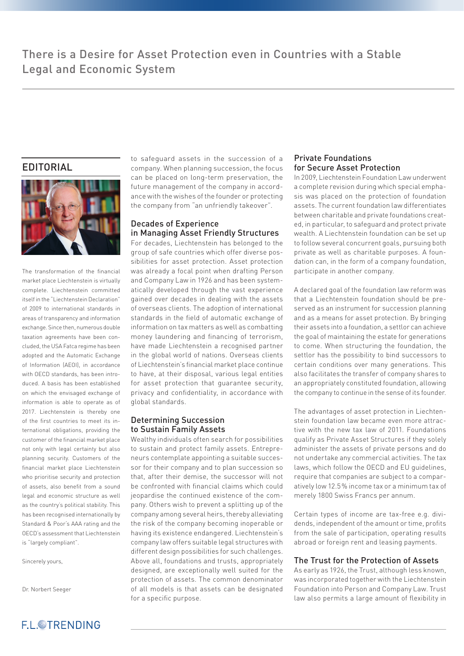# EDITORIAL



The transformation of the financial market place Liechtenstein is virtually complete. Liechtenstein committed itself in the "Liechtenstein Declaration" of 2009 to international standards in areas of transparency and information exchange. Since then, numerous double taxation agreements have been concluded, the USA Fatca regime has been adopted and the Automatic Exchange of Information (AEOI), in accordance with OECD standards, has been introduced. A basis has been established on which the envisaged exchange of information is able to operate as of 2017. Liechtenstein is thereby one of the first countries to meet its international obligations, providing the customer of the financial market place not only with legal certainty but also planning security. Customers of the financial market place Liechtenstein who prioritise security and protection of assets, also benefit from a sound legal and economic structure as well as the country's political stability. This has been recognised internationally by Standard & Poor's AAA rating and the OECD's assessment that Liechtenstein is "largely compliant".

Sincerely yours,

Dr. Norbert Seeger



to safeguard assets in the succession of a company. When planning succession, the focus can be placed on long-term preservation, the future management of the company in accordance with the wishes of the founder or protecting the company from "an unfriendly takeover".

#### Decades of Experience in Managing Asset Friendly Structures

For decades, Liechtenstein has belonged to the group of safe countries which offer diverse possibilities for asset protection. Asset protection was already a focal point when drafting Person and Company Law in 1926 and has been systematically developed through the vast experience gained over decades in dealing with the assets of overseas clients. The adoption of international standards in the field of automatic exchange of information on tax matters as well as combatting money laundering and financing of terrorism, have made Liechtenstein a recognised partner in the global world of nations. Overseas clients of Liechtenstein's financial market place continue to have, at their disposal, various legal entities for asset protection that guarantee security, privacy and confidentiality, in accordance with global standards.

#### Determining Succession to Sustain Family Assets

Wealthy individuals often search for possibilities to sustain and protect family assets. Entrepreneurs contemplate appointing a suitable successor for their company and to plan succession so that, after their demise, the successor will not be confronted with financial claims which could jeopardise the continued existence of the company. Others wish to prevent a splitting up of the company among several heirs, thereby alleviating the risk of the company becoming inoperable or having its existence endangered. Liechtenstein's company law offers suitable legal structures with different design possibilities for such challenges. Above all, foundations and trusts, appropriately designed, are exceptionally well suited for the protection of assets. The common denominator of all models is that assets can be designated for a specific purpose.

#### Private Foundations for Secure Asset Protection

In 2009, Liechtenstein Foundation Law underwent a complete revision during which special emphasis was placed on the protection of foundation assets. The current foundation law differentiates between charitable and private foundations created, in particular, to safeguard and protect private wealth. A Liechtenstein foundation can be set up to follow several concurrent goals, pursuing both private as well as charitable purposes. A foundation can, in the form of a company foundation, participate in another company.

A declared goal of the foundation law reform was that a Liechtenstein foundation should be preserved as an instrument for succession planning and as a means for asset protection. By bringing their assets into a foundation, a settlor can achieve the goal of maintaining the estate for generations to come. When structuring the foundation, the settlor has the possibility to bind successors to certain conditions over many generations. This also facilitates the transfer of company shares to an appropriately constituted foundation, allowing the company to continue in the sense of its founder.

The advantages of asset protection in Liechtenstein foundation law became even more attractive with the new tax law of 2011. Foundations qualify as Private Asset Structures if they solely administer the assets of private persons and do not undertake any commercial activities. The tax laws, which follow the OECD and EU guidelines, require that companies are subject to a comparatively low 12.5% income tax or a minimum tax of merely 1800 Swiss Francs per annum.

Certain types of income are tax-free e.g. dividends, independent of the amount or time, profits from the sale of participation, operating results abroad or foreign rent and leasing payments.

#### The Trust for the Protection of Assets

As early as 1926, the Trust, although less known, was incorporated together with the Liechtenstein Foundation into Person and Company Law. Trust law also permits a large amount of flexibility in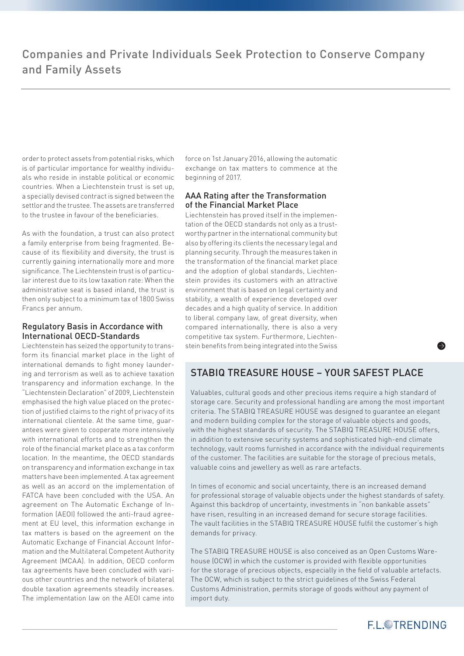order to protect assets from potential risks, which is of particular importance for wealthy individuals who reside in instable political or economic countries. When a Liechtenstein trust is set up, a specially devised contract is signed between the settlor and the trustee. The assets are transferred to the trustee in favour of the beneficiaries.

As with the foundation, a trust can also protect a family enterprise from being fragmented. Because of its flexibility and diversity, the trust is currently gaining internationally more and more significance. The Liechtenstein trust is of particular interest due to its low taxation rate: When the administrative seat is based inland, the trust is then only subject to a minimum tax of 1800 Swiss Francs per annum.

#### Regulatory Basis in Accordance with International OECD-Standards

Liechtenstein has seized the opportunity to transform its financial market place in the light of international demands to fight money laundering and terrorism as well as to achieve taxation transparency and information exchange. In the "Liechtenstein Declaration" of 2009, Liechtenstein emphasised the high value placed on the protection of justified claims to the right of privacy of its international clientele. At the same time, guarantees were given to cooperate more intensively with international efforts and to strengthen the role of the financial market place as a tax conform location. In the meantime, the OECD standards on transparency and information exchange in tax matters have been implemented. A tax agreement as well as an accord on the implementation of FATCA have been concluded with the USA. An agreement on The Automatic Exchange of Information (AEOI) followed the anti-fraud agreement at EU level, this information exchange in tax matters is based on the agreement on the Automatic Exchange of Financial Account Information and the Multilateral Competent Authority Agreement (MCAA). In addition, OECD conform tax agreements have been concluded with various other countries and the network of bilateral double taxation agreements steadily increases. The implementation law on the AEOI came into force on 1st January 2016, allowing the automatic exchange on tax matters to commence at the beginning of 2017.

#### AAA Rating after the Transformation of the Financial Market Place

Liechtenstein has proved itself in the implementation of the OECD standards not only as a trustworthy partner in the international community but also by offering its clients the necessary legal and planning security. Through the measures taken in the transformation of the financial market place and the adoption of global standards, Liechtenstein provides its customers with an attractive environment that is based on legal certainty and stability, a wealth of experience developed over decades and a high quality of service. In addition to liberal company law, of great diversity, when compared internationally, there is also a very competitive tax system. Furthermore, Liechtenstein benefits from being integrated into the Swiss

# STABIQ TREASURE HOUSE – YOUR SAFEST PLACE

Valuables, cultural goods and other precious items require a high standard of storage care. Security and professional handling are among the most important criteria. The STABIQ TREASURE HOUSE was designed to guarantee an elegant and modern building complex for the storage of valuable objects and goods, with the highest standards of security. The STABIQ TREASURE HOUSE offers, in addition to extensive security systems and sophisticated high-end climate technology, vault rooms furnished in accordance with the individual requirements of the customer. The facilities are suitable for the storage of precious metals, valuable coins and jewellery as well as rare artefacts.

In times of economic and social uncertainty, there is an increased demand for professional storage of valuable objects under the highest standards of safety. Against this backdrop of uncertainty, investments in "non bankable assets" have risen, resulting in an increased demand for secure storage facilities. The vault facilities in the STABIQ TREASURE HOUSE fulfil the customer's high demands for privacy.

The STABIQ TREASURE HOUSE is also conceived as an Open Customs Warehouse (OCW) in which the customer is provided with flexible opportunities for the storage of precious objects, especially in the field of valuable artefacts. The OCW, which is subject to the strict guidelines of the Swiss Federal Customs Administration, permits storage of goods without any payment of import duty.